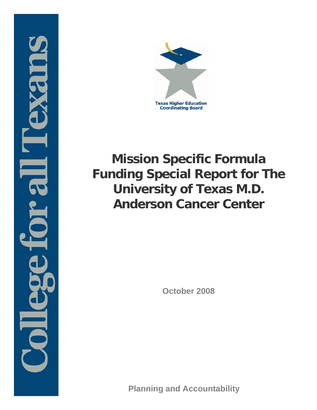



# **Mission Specific Formula Funding Special Report for The University of Texas M.D. Anderson Cancer Center**

**October 2008**

**Planning and Accountability**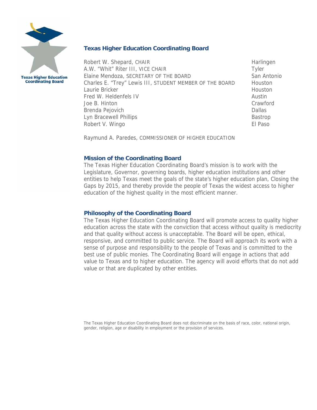

**Texas Higher Education Coordinating Board**

Robert W. Shepard, CHAIR **Harlingen** Harlingen A.W. "Whit" Riter III, VICE CHAIR Tyler Elaine Mendoza, SECRETARY OF THE BOARD San Antonio Charles E. "Trey" Lewis III, STUDENT MEMBER OF THE BOARD Houston Laurie Bricker New York 1999 (1999) 1999 (1999) 1999 (1999) 1999 (1999) 1999 (1999) 1999 (1999) 1999 (1999) 19 Fred W. Heldenfels IV and the state of the Austin Austin Joe B. Hinton Crawford Brenda Pejovich **Dallas** Dallas Dallas Dallas Dallas Dallas Dallas Dallas Dallas Dallas Dallas Dallas Dallas Dallas Dallas Dallas Dallas Dallas Dallas Dallas Dallas Dallas Dallas Dallas Dallas Dallas Dallas Dallas Dallas D Lyn Bracewell Phillips **Bastrop** Bastrop Robert V. Wingo **El Paso** El Paso estableceu en la contrada el estableceu en la contrada el Paso el Paso el Paso

Raymund A. Paredes, COMMISSIONER OF HIGHER EDUCATION

#### **Mission of the Coordinating Board**

The Texas Higher Education Coordinating Board's mission is to work with the Legislature, Governor, governing boards, higher education institutions and other entities to help Texas meet the goals of the state's higher education plan, Closing the Gaps by 2015, and thereby provide the people of Texas the widest access to higher education of the highest quality in the most efficient manner.

#### **Philosophy of the Coordinating Board**

The Texas Higher Education Coordinating Board will promote access to quality higher education across the state with the conviction that access without quality is mediocrity and that quality without access is unacceptable. The Board will be open, ethical, responsive, and committed to public service. The Board will approach its work with a sense of purpose and responsibility to the people of Texas and is committed to the best use of public monies. The Coordinating Board will engage in actions that add value to Texas and to higher education. The agency will avoid efforts that do not add value or that are duplicated by other entities.

The Texas Higher Education Coordinating Board does not discriminate on the basis of race, color, national origin, gender, religion, age or disability in employment or the provision of services.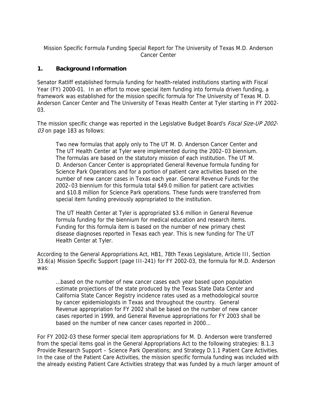Mission Specific Formula Funding Special Report for The University of Texas M.D. Anderson Cancer Center

### **1. Background Information**

Senator Ratliff established formula funding for health-related institutions starting with Fiscal Year (FY) 2000-01. In an effort to move special item funding into formula driven funding, a framework was established for the mission specific formula for The University of Texas M. D. Anderson Cancer Center and The University of Texas Health Center at Tyler starting in FY 2002- 03.

The mission specific change was reported in the Legislative Budget Board's *Fiscal Size-UP 2002-*03 on page 183 as follows:

Two new formulas that apply only to The UT M. D. Anderson Cancer Center and The UT Health Center at Tyler were implemented during the 2002–03 biennium. The formulas are based on the statutory mission of each institution. The UT M. D. Anderson Cancer Center is appropriated General Revenue formula funding for Science Park Operations and for a portion of patient care activities based on the number of new cancer cases in Texas each year. General Revenue Funds for the 2002–03 biennium for this formula total \$49.0 million for patient care activities and \$10.8 million for Science Park operations. These funds were transferred from special item funding previously appropriated to the institution.

The UT Health Center at Tyler is appropriated \$3.6 million in General Revenue formula funding for the biennium for medical education and research items. Funding for this formula item is based on the number of new primary chest disease diagnoses reported in Texas each year. This is new funding for The UT Health Center at Tyler.

According to the General Appropriations Act, HB1, 78th Texas Legislature, Article III, Section 33.6(a) Mission Specific Support (page III-241) for FY 2002-03, the formula for M.D. Anderson was:

…based on the number of new cancer cases each year based upon population estimate projections of the state produced by the Texas State Data Center and California State Cancer Registry incidence rates used as a methodological source by cancer epidemiologists in Texas and throughout the country. General Revenue appropriation for FY 2002 shall be based on the number of new cancer cases reported in 1999, and General Revenue appropriations for FY 2003 shall be based on the number of new cancer cases reported in 2000…

For FY 2002-03 these former special item appropriations for M. D. Anderson were transferred from the special items goal in the General Appropriations Act to the following strategies: B.1.3 Provide Research Support – Science Park Operations; and Strategy D.1.1 Patient Care Activities. In the case of the Patient Care Activities, the mission specific formula funding was included with the already existing Patient Care Activities strategy that was funded by a much larger amount of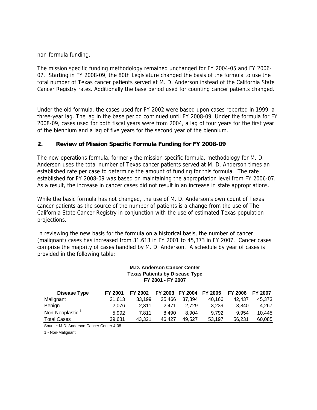non-formula funding.

The mission specific funding methodology remained unchanged for FY 2004-05 and FY 2006- 07. Starting in FY 2008-09, the 80th Legislature changed the basis of the formula to use the total number of Texas cancer patients served at M. D. Anderson instead of the California State Cancer Registry rates. Additionally the base period used for counting cancer patients changed.

Under the old formula, the cases used for FY 2002 were based upon cases reported in 1999, a three-year lag. The lag in the base period continued until FY 2008-09. Under the formula for FY 2008-09, cases used for both fiscal years were from 2004, a lag of four years for the first year of the biennium and a lag of five years for the second year of the biennium.

#### **2. Review of Mission Specific Formula Funding for FY 2008-09**

The new operations formula, formerly the mission specific formula, methodology for M. D. Anderson uses the total number of Texas cancer patients served at M. D. Anderson times an established rate per case to determine the amount of funding for this formula. The rate established for FY 2008-09 was based on maintaining the appropriation level from FY 2006-07. As a result, the increase in cancer cases did not result in an increase in state appropriations.

While the basic formula has not changed, the use of M. D. Anderson's own count of Texas cancer patients as the source of the number of patients is a change from the use of The California State Cancer Registry in conjunction with the use of estimated Texas population projections.

In reviewing the new basis for the formula on a historical basis, the number of cancer (malignant) cases has increased from 31,613 in FY 2001 to 45,373 in FY 2007. Cancer cases comprise the majority of cases handled by M. D. Anderson. A schedule by year of cases is provided in the following table:

#### **M.D. Anderson Cancer Center Texas Patients by Disease Type FY 2001 - FY 2007**

| Disease Type       | <b>FY 2001</b> | FY 2002 | FY 2003 | <b>FY 2004</b> | <b>FY 2005</b> | <b>FY 2006</b> | <b>FY 2007</b> |
|--------------------|----------------|---------|---------|----------------|----------------|----------------|----------------|
| Malignant          | 31.613         | 33.199  | 35.466  | 37.894         | 40.166         | 42.437         | 45.373         |
| Benign             | 2.076          | 2.311   | 2.471   | 2.729          | 3.239          | 3.840          | 4.267          |
| Non-Neoplastic     | 5.992          | 7.811   | 8.490   | 8.904          | 9.792          | 9.954          | 10.445         |
| <b>Total Cases</b> | 39.681         | 43.321  | 46.427  | 49.527         | 53.197         | 56.231         | 60.085         |

Source: M.D. Anderson Cancer Center 4-08

1 - Non-Malignant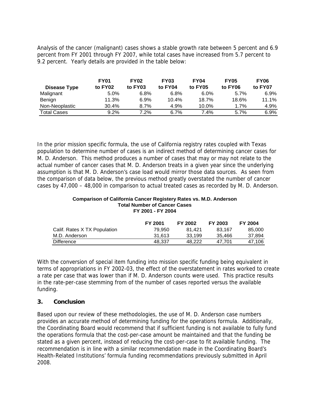Analysis of the cancer (malignant) cases shows a stable growth rate between 5 percent and 6.9 percent from FY 2001 through FY 2007, while total cases have increased from 5.7 percent to 9.2 percent. Yearly details are provided in the table below:

|                    | <b>FY01</b> | <b>FY02</b> | <b>FY03</b> | <b>FY04</b> | <b>FY05</b> | <b>FY06</b> |
|--------------------|-------------|-------------|-------------|-------------|-------------|-------------|
| Disease Type       | to FY02     | to FY03     | to FY04     | to FY05     | to FY06     | to FY07     |
| Malignant          | 5.0%        | 6.8%        | 6.8%        | $6.0\%$     | 5.7%        | 6.9%        |
| Benign             | 11.3%       | 6.9%        | 10.4%       | 18.7%       | 18.6%       | 11.1%       |
| Non-Neoplastic     | 30.4%       | 8.7%        | 4.9%        | $10.0\%$    | 1.7%        | 4.9%        |
| <b>Total Cases</b> | $9.2\%$     | 7.2%        | 6.7%        | 7.4%        | 5.7%        | 6.9%        |

In the prior mission specific formula, the use of California registry rates coupled with Texas population to determine number of cases is an indirect method of determining cancer cases for M. D. Anderson. This method produces a number of cases that may or may not relate to the actual number of cancer cases that M. D. Anderson treats in a given year since the underlying assumption is that M. D. Anderson's case load would mirror those data sources. As seen from the comparison of data below, the previous method greatly overstated the number of cancer cases by 47,000 – 48,000 in comparison to actual treated cases as recorded by M. D. Anderson.

#### **Comparison of California Cancer Registery Rates vs. M.D. Anderson Total Number of Cancer Cases FY 2001 - FY 2004**

|                              | <b>FY 2001</b> | FY 2002 | <b>FY 2003</b> | <b>FY 2004</b> |
|------------------------------|----------------|---------|----------------|----------------|
| Calif. Rates X TX Population | 79.950         | 81.421  | 83.167         | 85,000         |
| M.D. Anderson                | 31.613         | 33.199  | 35.466         | 37,894         |
| Difference                   | 48.337         | 48.222  | 47.701         | 47.106         |

With the conversion of special item funding into mission specific funding being equivalent in terms of appropriations in FY 2002-03, the effect of the overstatement in rates worked to create a rate per case that was lower than if M. D. Anderson counts were used. This practice results in the rate-per-case stemming from of the number of cases reported versus the available funding.

## **3. Conclusion**

Based upon our review of these methodologies, the use of M. D. Anderson case numbers provides an accurate method of determining funding for the operations formula. Additionally, the Coordinating Board would recommend that if sufficient funding is not available to fully fund the operations formula that the cost-per-case amount be maintained and that the funding be stated as a given percent, instead of reducing the cost-per-case to fit available funding. The recommendation is in line with a similar recommendation made in the Coordinating Board's Health-Related Institutions' formula funding recommendations previously submitted in April 2008.